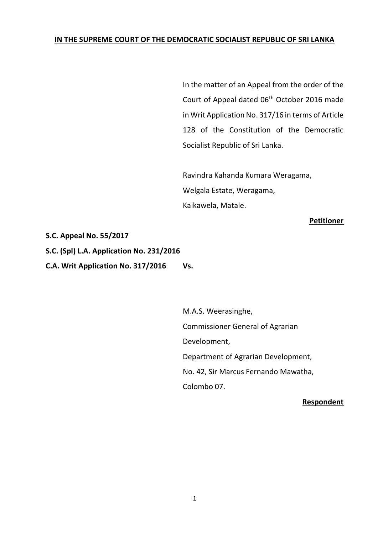# **IN THE SUPREME COURT OF THE DEMOCRATIC SOCIALIST REPUBLIC OF SRI LANKA**

In the matter of an Appeal from the order of the Court of Appeal dated 06th October 2016 made in Writ Application No. 317/16 in terms of Article 128 of the Constitution of the Democratic Socialist Republic of Sri Lanka.

Ravindra Kahanda Kumara Weragama, Welgala Estate, Weragama, Kaikawela, Matale.

**Petitioner**

**S.C. Appeal No. 55/2017**

**S.C. (Spl) L.A. Application No. 231/2016**

**C.A. Writ Application No. 317/2016 Vs.**

M.A.S. Weerasinghe, Commissioner General of Agrarian Development, Department of Agrarian Development, No. 42, Sir Marcus Fernando Mawatha, Colombo 07.

**Respondent**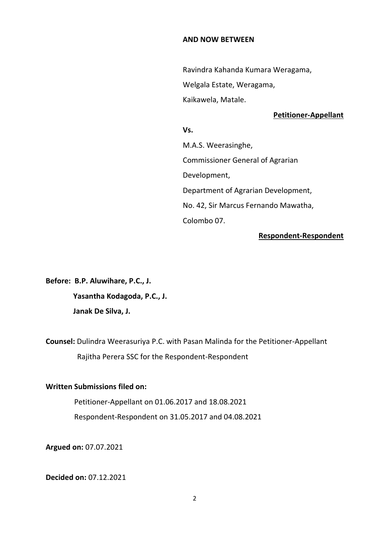#### **AND NOW BETWEEN**

Ravindra Kahanda Kumara Weragama, Welgala Estate, Weragama, Kaikawela, Matale.

#### **Petitioner-Appellant**

### **Vs.**

M.A.S. Weerasinghe, Commissioner General of Agrarian Development, Department of Agrarian Development, No. 42, Sir Marcus Fernando Mawatha, Colombo 07.

# **Respondent-Respondent**

**Before: B.P. Aluwihare, P.C., J. Yasantha Kodagoda, P.C., J. Janak De Silva, J.**

**Counsel:** Dulindra Weerasuriya P.C. with Pasan Malinda for the Petitioner-Appellant Rajitha Perera SSC for the Respondent-Respondent

#### **Written Submissions filed on:**

Petitioner-Appellant on 01.06.2017 and 18.08.2021 Respondent-Respondent on 31.05.2017 and 04.08.2021

**Argued on:** 07.07.2021

**Decided on:** 07.12.2021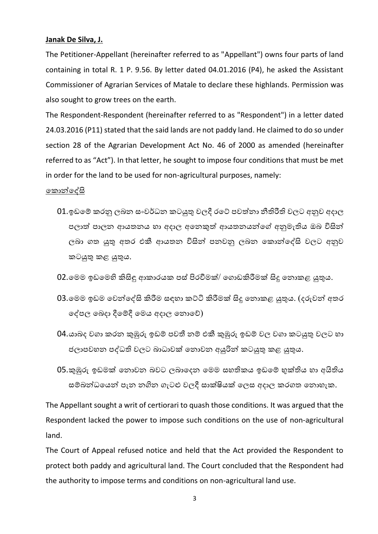## **Janak De Silva, J.**

The Petitioner-Appellant (hereinafter referred to as "Appellant") owns four parts of land containing in total R. 1 P. 9.56. By letter dated 04.01.2016 (P4), he asked the Assistant Commissioner of Agrarian Services of Matale to declare these highlands. Permission was also sought to grow trees on the earth.

The Respondent-Respondent (hereinafter referred to as "Respondent") in a letter dated 24.03.2016 (P11) stated that the said lands are not paddy land. He claimed to do so under section 28 of the Agrarian Development Act No. 46 of 2000 as amended (hereinafter referred to as "Act"). In that letter, he sought to impose four conditions that must be met in order for the land to be used for non-agricultural purposes, namely:

### ක ොන්කේසි

- 01.ඉඩමේ කරනු ලබන සංවර්ධන කටයුතු වලදී රටේ පවත්නා නීතිරීති වලට අනුව අදාල පලොත් පොලන ආයතනය හො අදොල අකනකුත් ආයතනයන්කේ අනුමැතිය ඔබ විසින් ලබා ගත යුතු අතර එකී ආයතන විසින් පනවනු ලබන කොන්දේසි වලට අනුව ටයුතු ළ යුතුය.
- 02.මෙම ඉඩමෙහි කිසිඳු ආකාරයක පස් පිරවීමක්/ ගොඩකිරීමක් සිදු තොකළ යුතුය.
- 03.මෙම ඉඩම වෙන්දේසි කිරීම සඳහා කට්ටි කිරීමක් සිදූ නොකළ යුතුය. (දරුවන් අතර කේපල කබදො දීකේදී කමය අදොල කනොකේ)
- 04.යාබද වගා කරන කුඹුරු ඉඩම් පවතී නම් එකී කුඹුරු ඉඩම් වල වගා කටයුතු වලට හා ජලොපවහන පේධති වලට බොධොවක් කනොවන අයුරින් ටයුතු ළ යුතුය.
- 05.කුඹුරු ඉඩමක් කනොවන බවට ලබොකදන කමම සහති ය ඉඩකේ භුක්තිය හො අයිතිය සම්බන්ධයෙන් පැන නගින ගැටළු වලදී සාක්ෂියක් ලෙස අදාල කරගත නොහැක.

The Appellant sought a writ of certiorari to quash those conditions. It was argued that the Respondent lacked the power to impose such conditions on the use of non-agricultural land.

The Court of Appeal refused notice and held that the Act provided the Respondent to protect both paddy and agricultural land. The Court concluded that the Respondent had the authority to impose terms and conditions on non-agricultural land use.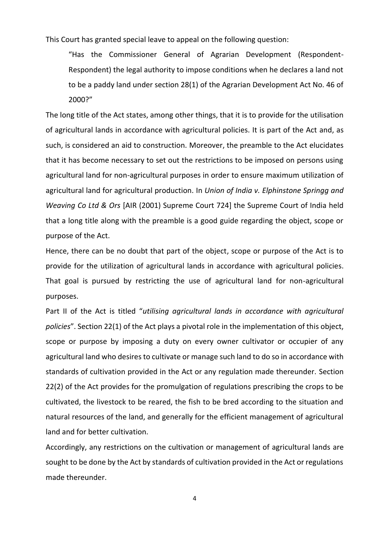This Court has granted special leave to appeal on the following question:

"Has the Commissioner General of Agrarian Development (Respondent-Respondent) the legal authority to impose conditions when he declares a land not to be a paddy land under section 28(1) of the Agrarian Development Act No. 46 of 2000?"

The long title of the Act states, among other things, that it is to provide for the utilisation of agricultural lands in accordance with agricultural policies. It is part of the Act and, as such, is considered an aid to construction. Moreover, the preamble to the Act elucidates that it has become necessary to set out the restrictions to be imposed on persons using agricultural land for non-agricultural purposes in order to ensure maximum utilization of agricultural land for agricultural production. In *Union of India v. Elphinstone Springg and Weaving Co Ltd & Ors* [AIR (2001) Supreme Court 724] the Supreme Court of India held that a long title along with the preamble is a good guide regarding the object, scope or purpose of the Act.

Hence, there can be no doubt that part of the object, scope or purpose of the Act is to provide for the utilization of agricultural lands in accordance with agricultural policies. That goal is pursued by restricting the use of agricultural land for non-agricultural purposes.

Part II of the Act is titled "*utilising agricultural lands in accordance with agricultural policies*". Section 22(1) of the Act plays a pivotal role in the implementation of this object, scope or purpose by imposing a duty on every owner cultivator or occupier of any agricultural land who desires to cultivate or manage such land to do so in accordance with standards of cultivation provided in the Act or any regulation made thereunder. Section 22(2) of the Act provides for the promulgation of regulations prescribing the crops to be cultivated, the livestock to be reared, the fish to be bred according to the situation and natural resources of the land, and generally for the efficient management of agricultural land and for better cultivation.

Accordingly, any restrictions on the cultivation or management of agricultural lands are sought to be done by the Act by standards of cultivation provided in the Act or regulations made thereunder.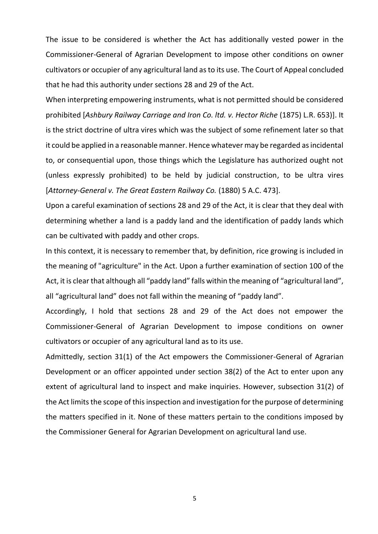The issue to be considered is whether the Act has additionally vested power in the Commissioner-General of Agrarian Development to impose other conditions on owner cultivators or occupier of any agricultural land as to its use. The Court of Appeal concluded that he had this authority under sections 28 and 29 of the Act.

When interpreting empowering instruments, what is not permitted should be considered prohibited [*Ashbury Railway Carriage and Iron Co. ltd. v. Hector Riche* (1875) L.R. 653)]. It is the strict doctrine of ultra vires which was the subject of some refinement later so that it could be applied in a reasonable manner. Hence whatever may be regarded as incidental to, or consequential upon, those things which the Legislature has authorized ought not (unless expressly prohibited) to be held by judicial construction, to be ultra vires [*Attorney-General v. The Great Eastern Railway Co.* (1880) 5 A.C. 473].

Upon a careful examination of sections 28 and 29 of the Act, it is clear that they deal with determining whether a land is a paddy land and the identification of paddy lands which can be cultivated with paddy and other crops.

In this context, it is necessary to remember that, by definition, rice growing is included in the meaning of "agriculture" in the Act. Upon a further examination of section 100 of the Act, it is clear that although all "paddy land" falls within the meaning of "agricultural land", all "agricultural land" does not fall within the meaning of "paddy land".

Accordingly, I hold that sections 28 and 29 of the Act does not empower the Commissioner-General of Agrarian Development to impose conditions on owner cultivators or occupier of any agricultural land as to its use.

Admittedly, section 31(1) of the Act empowers the Commissioner-General of Agrarian Development or an officer appointed under section 38(2) of the Act to enter upon any extent of agricultural land to inspect and make inquiries. However, subsection 31(2) of the Act limits the scope of this inspection and investigation for the purpose of determining the matters specified in it. None of these matters pertain to the conditions imposed by the Commissioner General for Agrarian Development on agricultural land use.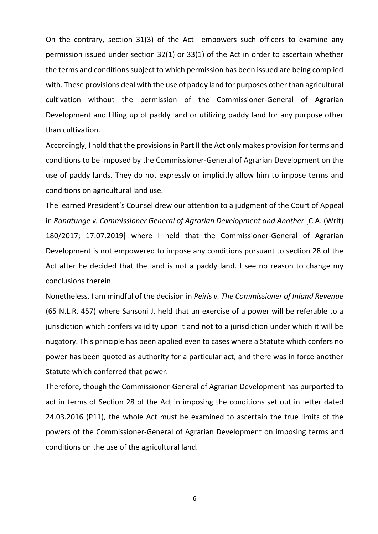On the contrary, section 31(3) of the Act empowers such officers to examine any permission issued under section 32(1) or 33(1) of the Act in order to ascertain whether the terms and conditions subject to which permission has been issued are being complied with. These provisions deal with the use of paddy land for purposes other than agricultural cultivation without the permission of the Commissioner-General of Agrarian Development and filling up of paddy land or utilizing paddy land for any purpose other than cultivation.

Accordingly, I hold that the provisions in Part II the Act only makes provision for terms and conditions to be imposed by the Commissioner-General of Agrarian Development on the use of paddy lands. They do not expressly or implicitly allow him to impose terms and conditions on agricultural land use.

The learned President's Counsel drew our attention to a judgment of the Court of Appeal in *Ranatunge v. Commissioner General of Agrarian Development and Another* [C.A. (Writ) 180/2017; 17.07.2019] where I held that the Commissioner-General of Agrarian Development is not empowered to impose any conditions pursuant to section 28 of the Act after he decided that the land is not a paddy land. I see no reason to change my conclusions therein.

Nonetheless, I am mindful of the decision in *Peiris v. The Commissioner of Inland Revenue* (65 N.L.R. 457) where Sansoni J. held that an exercise of a power will be referable to a jurisdiction which confers validity upon it and not to a jurisdiction under which it will be nugatory. This principle has been applied even to cases where a Statute which confers no power has been quoted as authority for a particular act, and there was in force another Statute which conferred that power.

Therefore, though the Commissioner-General of Agrarian Development has purported to act in terms of Section 28 of the Act in imposing the conditions set out in letter dated 24.03.2016 (P11), the whole Act must be examined to ascertain the true limits of the powers of the Commissioner-General of Agrarian Development on imposing terms and conditions on the use of the agricultural land.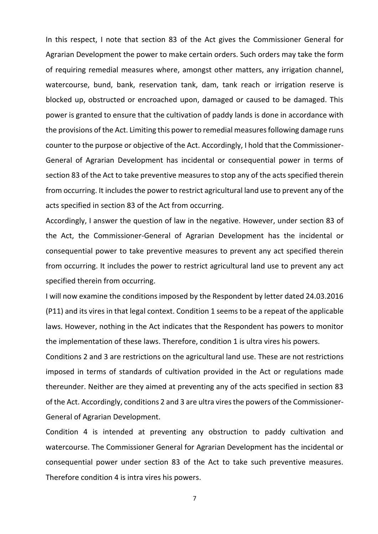In this respect, I note that section 83 of the Act gives the Commissioner General for Agrarian Development the power to make certain orders. Such orders may take the form of requiring remedial measures where, amongst other matters, any irrigation channel, watercourse, bund, bank, reservation tank, dam, tank reach or irrigation reserve is blocked up, obstructed or encroached upon, damaged or caused to be damaged. This power is granted to ensure that the cultivation of paddy lands is done in accordance with the provisions of the Act. Limiting this power to remedial measures following damage runs counter to the purpose or objective of the Act. Accordingly, I hold that the Commissioner-General of Agrarian Development has incidental or consequential power in terms of section 83 of the Act to take preventive measures to stop any of the acts specified therein from occurring. It includes the power to restrict agricultural land use to prevent any of the acts specified in section 83 of the Act from occurring.

Accordingly, I answer the question of law in the negative. However, under section 83 of the Act, the Commissioner-General of Agrarian Development has the incidental or consequential power to take preventive measures to prevent any act specified therein from occurring. It includes the power to restrict agricultural land use to prevent any act specified therein from occurring.

I will now examine the conditions imposed by the Respondent by letter dated 24.03.2016 (P11) and its vires in that legal context. Condition 1 seems to be a repeat of the applicable laws. However, nothing in the Act indicates that the Respondent has powers to monitor the implementation of these laws. Therefore, condition 1 is ultra vires his powers.

Conditions 2 and 3 are restrictions on the agricultural land use. These are not restrictions imposed in terms of standards of cultivation provided in the Act or regulations made thereunder. Neither are they aimed at preventing any of the acts specified in section 83 of the Act. Accordingly, conditions 2 and 3 are ultra vires the powers of the Commissioner-General of Agrarian Development.

Condition 4 is intended at preventing any obstruction to paddy cultivation and watercourse. The Commissioner General for Agrarian Development has the incidental or consequential power under section 83 of the Act to take such preventive measures. Therefore condition 4 is intra vires his powers.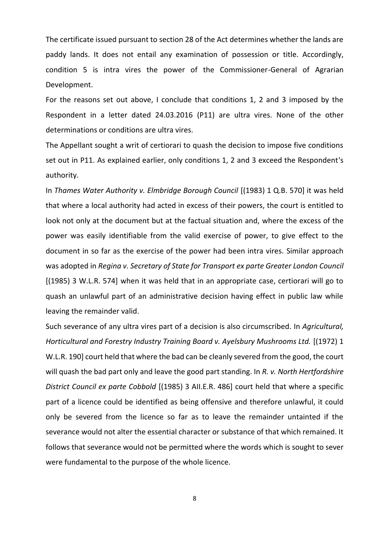The certificate issued pursuant to section 28 of the Act determines whether the lands are paddy lands. It does not entail any examination of possession or title. Accordingly, condition 5 is intra vires the power of the Commissioner-General of Agrarian Development.

For the reasons set out above, I conclude that conditions 1, 2 and 3 imposed by the Respondent in a letter dated 24.03.2016 (P11) are ultra vires. None of the other determinations or conditions are ultra vires.

The Appellant sought a writ of certiorari to quash the decision to impose five conditions set out in P11. As explained earlier, only conditions 1, 2 and 3 exceed the Respondent's authority.

In *Thames Water Authority v. Elmbridge Borough Council* [(1983) 1 Q.B. 570] it was held that where a local authority had acted in excess of their powers, the court is entitled to look not only at the document but at the factual situation and, where the excess of the power was easily identifiable from the valid exercise of power, to give effect to the document in so far as the exercise of the power had been intra vires. Similar approach was adopted in *Regina v. Secretary of State for Transport ex parte Greater London Council* [(1985) 3 W.L.R. 574] when it was held that in an appropriate case, certiorari will go to quash an unlawful part of an administrative decision having effect in public law while leaving the remainder valid.

Such severance of any ultra vires part of a decision is also circumscribed. In *Agricultural, Horticultural and Forestry Industry Training Board v. Ayelsbury Mushrooms Ltd.* [(1972) 1 W.L.R. 190] court held that where the bad can be cleanly severed from the good, the court will quash the bad part only and leave the good part standing. In *R. v. North Hertfordshire District Council ex parte Cobbold* [(1985) 3 AII.E.R. 486] court held that where a specific part of a licence could be identified as being offensive and therefore unlawful, it could only be severed from the licence so far as to leave the remainder untainted if the severance would not alter the essential character or substance of that which remained. It follows that severance would not be permitted where the words which is sought to sever were fundamental to the purpose of the whole licence.